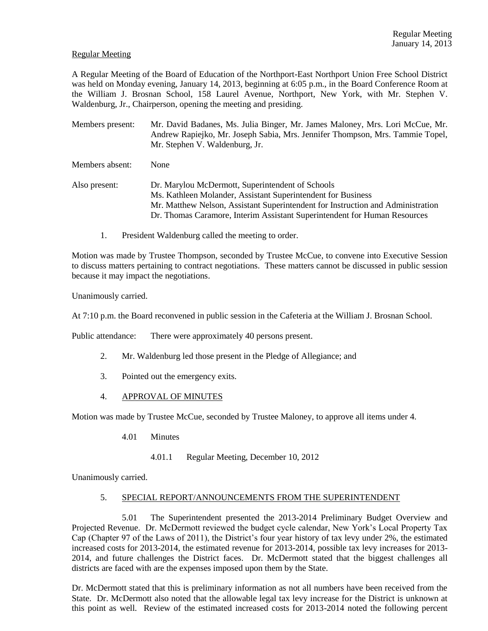#### Regular Meeting

A Regular Meeting of the Board of Education of the Northport-East Northport Union Free School District was held on Monday evening, January 14, 2013, beginning at 6:05 p.m., in the Board Conference Room at the William J. Brosnan School, 158 Laurel Avenue, Northport, New York, with Mr. Stephen V. Waldenburg, Jr., Chairperson, opening the meeting and presiding.

Members present: Mr. David Badanes, Ms. Julia Binger, Mr. James Maloney, Mrs. Lori McCue, Mr. Andrew Rapiejko, Mr. Joseph Sabia, Mrs. Jennifer Thompson, Mrs. Tammie Topel, Mr. Stephen V. Waldenburg, Jr.

Members absent: None

Also present: Dr. Marylou McDermott, Superintendent of Schools Ms. Kathleen Molander, Assistant Superintendent for Business Mr. Matthew Nelson, Assistant Superintendent for Instruction and Administration Dr. Thomas Caramore, Interim Assistant Superintendent for Human Resources

1. President Waldenburg called the meeting to order.

Motion was made by Trustee Thompson, seconded by Trustee McCue, to convene into Executive Session to discuss matters pertaining to contract negotiations. These matters cannot be discussed in public session because it may impact the negotiations.

Unanimously carried.

At 7:10 p.m. the Board reconvened in public session in the Cafeteria at the William J. Brosnan School.

Public attendance: There were approximately 40 persons present.

- 2. Mr. Waldenburg led those present in the Pledge of Allegiance; and
- 3. Pointed out the emergency exits.
- 4. APPROVAL OF MINUTES

Motion was made by Trustee McCue, seconded by Trustee Maloney, to approve all items under 4.

- 4.01 Minutes
	- 4.01.1 Regular Meeting, December 10, 2012

Unanimously carried.

## 5. SPECIAL REPORT/ANNOUNCEMENTS FROM THE SUPERINTENDENT

5.01 The Superintendent presented the 2013-2014 Preliminary Budget Overview and Projected Revenue. Dr. McDermott reviewed the budget cycle calendar, New York's Local Property Tax Cap (Chapter 97 of the Laws of 2011), the District's four year history of tax levy under 2%, the estimated increased costs for 2013-2014, the estimated revenue for 2013-2014, possible tax levy increases for 2013- 2014, and future challenges the District faces. Dr. McDermott stated that the biggest challenges all districts are faced with are the expenses imposed upon them by the State.

Dr. McDermott stated that this is preliminary information as not all numbers have been received from the State. Dr. McDermott also noted that the allowable legal tax levy increase for the District is unknown at this point as well. Review of the estimated increased costs for 2013-2014 noted the following percent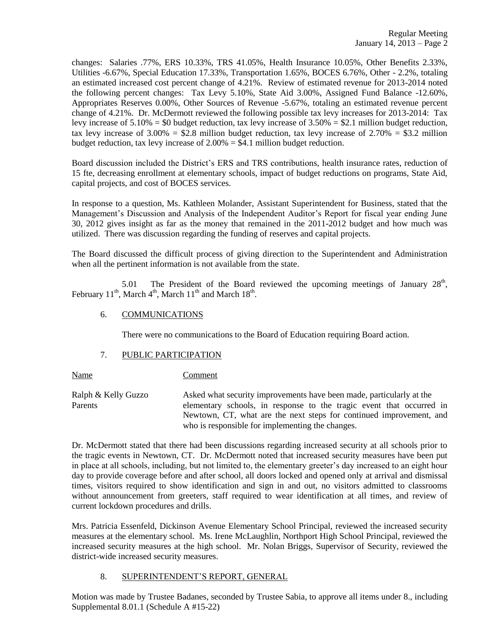changes: Salaries .77%, ERS 10.33%, TRS 41.05%, Health Insurance 10.05%, Other Benefits 2.33%, Utilities -6.67%, Special Education 17.33%, Transportation 1.65%, BOCES 6.76%, Other - 2.2%, totaling an estimated increased cost percent change of 4.21%. Review of estimated revenue for 2013-2014 noted the following percent changes: Tax Levy 5.10%, State Aid 3.00%, Assigned Fund Balance -12.60%, Appropriates Reserves 0.00%, Other Sources of Revenue -5.67%, totaling an estimated revenue percent change of 4.21%. Dr. McDermott reviewed the following possible tax levy increases for 2013-2014: Tax levy increase of  $5.10\% = $0$  budget reduction, tax levy increase of  $3.50\% = $2.1$  million budget reduction, tax levy increase of  $3.00\% = $2.8$  million budget reduction, tax levy increase of  $2.70\% = $3.2$  million budget reduction, tax levy increase of  $2.00\% = $4.1$  million budget reduction.

Board discussion included the District's ERS and TRS contributions, health insurance rates, reduction of 15 fte, decreasing enrollment at elementary schools, impact of budget reductions on programs, State Aid, capital projects, and cost of BOCES services.

In response to a question, Ms. Kathleen Molander, Assistant Superintendent for Business, stated that the Management's Discussion and Analysis of the Independent Auditor's Report for fiscal year ending June 30, 2012 gives insight as far as the money that remained in the 2011-2012 budget and how much was utilized. There was discussion regarding the funding of reserves and capital projects.

The Board discussed the difficult process of giving direction to the Superintendent and Administration when all the pertinent information is not available from the state.

5.01 The President of the Board reviewed the upcoming meetings of January  $28<sup>th</sup>$ , February 11<sup>th</sup>, March 4<sup>th</sup>, March 11<sup>th</sup> and March 18<sup>th</sup>.

## 6. COMMUNICATIONS

There were no communications to the Board of Education requiring Board action.

## 7. PUBLIC PARTICIPATION

Name Comment

Ralph & Kelly Guzzo Asked what security improvements have been made, particularly at the Parents elementary schools, in response to the tragic event that occurred in Newtown, CT, what are the next steps for continued improvement, and who is responsible for implementing the changes.

Dr. McDermott stated that there had been discussions regarding increased security at all schools prior to the tragic events in Newtown, CT. Dr. McDermott noted that increased security measures have been put in place at all schools, including, but not limited to, the elementary greeter's day increased to an eight hour day to provide coverage before and after school, all doors locked and opened only at arrival and dismissal times, visitors required to show identification and sign in and out, no visitors admitted to classrooms without announcement from greeters, staff required to wear identification at all times, and review of current lockdown procedures and drills.

Mrs. Patricia Essenfeld, Dickinson Avenue Elementary School Principal, reviewed the increased security measures at the elementary school. Ms. Irene McLaughlin, Northport High School Principal, reviewed the increased security measures at the high school. Mr. Nolan Briggs, Supervisor of Security, reviewed the district-wide increased security measures.

## 8. SUPERINTENDENT'S REPORT, GENERAL

Motion was made by Trustee Badanes, seconded by Trustee Sabia, to approve all items under 8., including Supplemental 8.01.1 (Schedule A #15-22)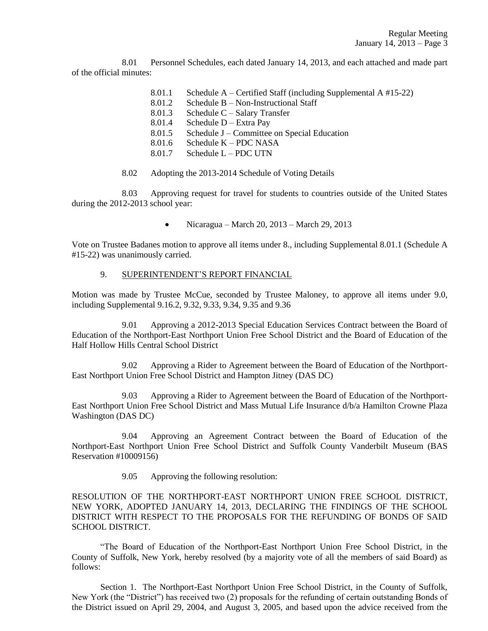8.01 Personnel Schedules, each dated January 14, 2013, and each attached and made part of the official minutes:

- 8.01.1 Schedule A Certified Staff (including Supplemental A #15-22)
- 8.01.2 Schedule B Non-Instructional Staff
- 8.01.3 Schedule C Salary Transfer
- 8.01.4 Schedule D Extra Pay
- 8.01.5 Schedule J Committee on Special Education
- 8.01.6 Schedule K PDC NASA
- 8.01.7 Schedule L PDC UTN
- 8.02 Adopting the 2013-2014 Schedule of Voting Details

8.03 Approving request for travel for students to countries outside of the United States during the 2012-2013 school year:

> $\bullet$ Nicaragua – March 20, 2013 – March 29, 2013

Vote on Trustee Badanes motion to approve all items under 8., including Supplemental 8.01.1 (Schedule A #15-22) was unanimously carried.

# 9. SUPERINTENDENT'S REPORT FINANCIAL

Motion was made by Trustee McCue, seconded by Trustee Maloney, to approve all items under 9.0, including Supplemental 9.16.2, 9.32, 9.33, 9.34, 9.35 and 9.36

9.01 Approving a 2012-2013 Special Education Services Contract between the Board of Education of the Northport-East Northport Union Free School District and the Board of Education of the Half Hollow Hills Central School District

9.02 Approving a Rider to Agreement between the Board of Education of the Northport-East Northport Union Free School District and Hampton Jitney (DAS DC)

9.03 Approving a Rider to Agreement between the Board of Education of the Northport-East Northport Union Free School District and Mass Mutual Life Insurance d/b/a Hamilton Crowne Plaza Washington (DAS DC)

9.04 Approving an Agreement Contract between the Board of Education of the Northport-East Northport Union Free School District and Suffolk County Vanderbilt Museum (BAS Reservation #10009156)

9.05 Approving the following resolution:

RESOLUTION OF THE NORTHPORT-EAST NORTHPORT UNION FREE SCHOOL DISTRICT, NEW YORK, ADOPTED JANUARY 14, 2013, DECLARING THE FINDINGS OF THE SCHOOL DISTRICT WITH RESPECT TO THE PROPOSALS FOR THE REFUNDING OF BONDS OF SAID SCHOOL DISTRICT.

"The Board of Education of the Northport-East Northport Union Free School District, in the County of Suffolk, New York, hereby resolved (by a majority vote of all the members of said Board) as follows:

Section 1. The Northport-East Northport Union Free School District, in the County of Suffolk, New York (the "District") has received two (2) proposals for the refunding of certain outstanding Bonds of the District issued on April 29, 2004, and August 3, 2005, and based upon the advice received from the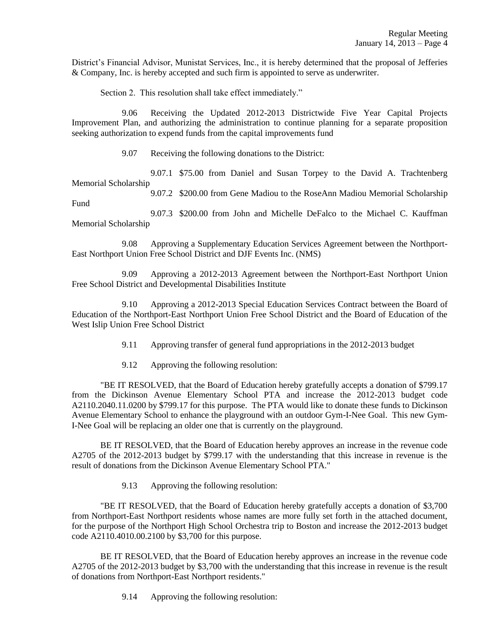District's Financial Advisor, Munistat Services, Inc., it is hereby determined that the proposal of Jefferies & Company, Inc. is hereby accepted and such firm is appointed to serve as underwriter.

Section 2. This resolution shall take effect immediately."

9.06 Receiving the Updated 2012-2013 Districtwide Five Year Capital Projects Improvement Plan, and authorizing the administration to continue planning for a separate proposition seeking authorization to expend funds from the capital improvements fund

9.07 Receiving the following donations to the District:

9.07.1 \$75.00 from Daniel and Susan Torpey to the David A. Trachtenberg Memorial Scholarship

9.07.2 \$200.00 from Gene Madiou to the RoseAnn Madiou Memorial Scholarship Fund

9.07.3 \$200.00 from John and Michelle DeFalco to the Michael C. Kauffman Memorial Scholarship

9.08 Approving a Supplementary Education Services Agreement between the Northport-East Northport Union Free School District and DJF Events Inc. (NMS)

9.09 Approving a 2012-2013 Agreement between the Northport-East Northport Union Free School District and Developmental Disabilities Institute

9.10 Approving a 2012-2013 Special Education Services Contract between the Board of Education of the Northport-East Northport Union Free School District and the Board of Education of the West Islip Union Free School District

- 9.11 Approving transfer of general fund appropriations in the 2012-2013 budget
- 9.12 Approving the following resolution:

"BE IT RESOLVED, that the Board of Education hereby gratefully accepts a donation of \$799.17 from the Dickinson Avenue Elementary School PTA and increase the 2012-2013 budget code A2110.2040.11.0200 by \$799.17 for this purpose. The PTA would like to donate these funds to Dickinson Avenue Elementary School to enhance the playground with an outdoor Gym-I-Nee Goal. This new Gym-I-Nee Goal will be replacing an older one that is currently on the playground.

BE IT RESOLVED, that the Board of Education hereby approves an increase in the revenue code A2705 of the 2012-2013 budget by \$799.17 with the understanding that this increase in revenue is the result of donations from the Dickinson Avenue Elementary School PTA."

9.13 Approving the following resolution:

"BE IT RESOLVED, that the Board of Education hereby gratefully accepts a donation of \$3,700 from Northport-East Northport residents whose names are more fully set forth in the attached document, for the purpose of the Northport High School Orchestra trip to Boston and increase the 2012-2013 budget code A2110.4010.00.2100 by \$3,700 for this purpose.

BE IT RESOLVED, that the Board of Education hereby approves an increase in the revenue code A2705 of the 2012-2013 budget by \$3,700 with the understanding that this increase in revenue is the result of donations from Northport-East Northport residents."

9.14 Approving the following resolution: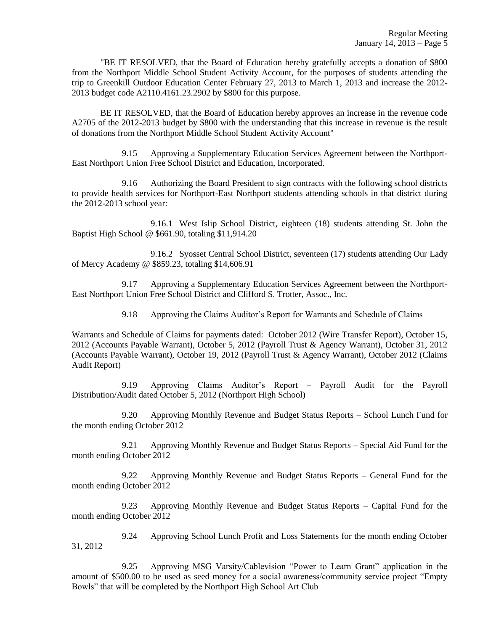"BE IT RESOLVED, that the Board of Education hereby gratefully accepts a donation of \$800 from the Northport Middle School Student Activity Account, for the purposes of students attending the trip to Greenkill Outdoor Education Center February 27, 2013 to March 1, 2013 and increase the 2012- 2013 budget code A2110.4161.23.2902 by \$800 for this purpose.

BE IT RESOLVED, that the Board of Education hereby approves an increase in the revenue code A2705 of the 2012-2013 budget by \$800 with the understanding that this increase in revenue is the result of donations from the Northport Middle School Student Activity Account"

9.15 Approving a Supplementary Education Services Agreement between the Northport-East Northport Union Free School District and Education, Incorporated.

9.16 Authorizing the Board President to sign contracts with the following school districts to provide health services for Northport-East Northport students attending schools in that district during the 2012-2013 school year:

9.16.1 West Islip School District, eighteen (18) students attending St. John the Baptist High School @ \$661.90, totaling \$11,914.20

9.16.2 Syosset Central School District, seventeen (17) students attending Our Lady of Mercy Academy @ \$859.23, totaling \$14,606.91

9.17 Approving a Supplementary Education Services Agreement between the Northport-East Northport Union Free School District and Clifford S. Trotter, Assoc., Inc.

9.18 Approving the Claims Auditor's Report for Warrants and Schedule of Claims

Warrants and Schedule of Claims for payments dated: October 2012 (Wire Transfer Report), October 15, 2012 (Accounts Payable Warrant), October 5, 2012 (Payroll Trust & Agency Warrant), October 31, 2012 (Accounts Payable Warrant), October 19, 2012 (Payroll Trust & Agency Warrant), October 2012 (Claims Audit Report)

9.19 Approving Claims Auditor's Report – Payroll Audit for the Payroll Distribution/Audit dated October 5, 2012 (Northport High School)

9.20 Approving Monthly Revenue and Budget Status Reports – School Lunch Fund for the month ending October 2012

9.21 Approving Monthly Revenue and Budget Status Reports – Special Aid Fund for the month ending October 2012

9.22 Approving Monthly Revenue and Budget Status Reports – General Fund for the month ending October 2012

9.23 Approving Monthly Revenue and Budget Status Reports – Capital Fund for the month ending October 2012

9.24 Approving School Lunch Profit and Loss Statements for the month ending October 31, 2012

9.25 Approving MSG Varsity/Cablevision "Power to Learn Grant" application in the amount of \$500.00 to be used as seed money for a social awareness/community service project "Empty Bowls" that will be completed by the Northport High School Art Club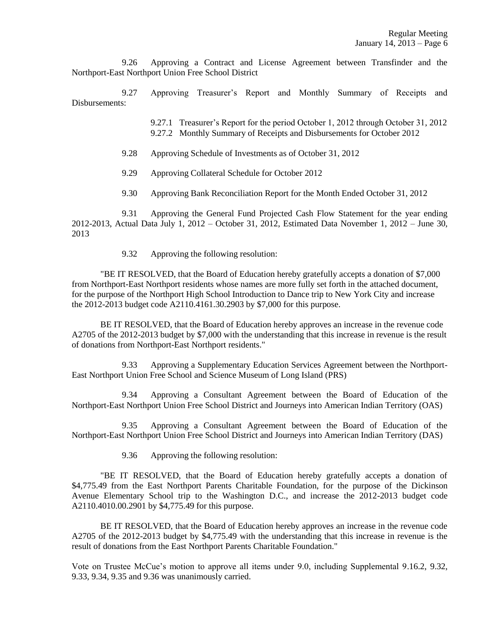9.26 Approving a Contract and License Agreement between Transfinder and the Northport-East Northport Union Free School District

9.27 Approving Treasurer's Report and Monthly Summary of Receipts and Disbursements:

> 9.27.1 Treasurer's Report for the period October 1, 2012 through October 31, 2012 9.27.2 Monthly Summary of Receipts and Disbursements for October 2012

- 9.28 Approving Schedule of Investments as of October 31, 2012
- 9.29 Approving Collateral Schedule for October 2012
- 9.30 Approving Bank Reconciliation Report for the Month Ended October 31, 2012

9.31 Approving the General Fund Projected Cash Flow Statement for the year ending 2012-2013, Actual Data July 1, 2012 – October 31, 2012, Estimated Data November 1, 2012 – June 30, 2013

9.32 Approving the following resolution:

"BE IT RESOLVED, that the Board of Education hereby gratefully accepts a donation of \$7,000 from Northport-East Northport residents whose names are more fully set forth in the attached document, for the purpose of the Northport High School Introduction to Dance trip to New York City and increase the 2012-2013 budget code A2110.4161.30.2903 by \$7,000 for this purpose.

BE IT RESOLVED, that the Board of Education hereby approves an increase in the revenue code A2705 of the 2012-2013 budget by \$7,000 with the understanding that this increase in revenue is the result of donations from Northport-East Northport residents."

9.33 Approving a Supplementary Education Services Agreement between the Northport-East Northport Union Free School and Science Museum of Long Island (PRS)

9.34 Approving a Consultant Agreement between the Board of Education of the Northport-East Northport Union Free School District and Journeys into American Indian Territory (OAS)

9.35 Approving a Consultant Agreement between the Board of Education of the Northport-East Northport Union Free School District and Journeys into American Indian Territory (DAS)

9.36 Approving the following resolution:

"BE IT RESOLVED, that the Board of Education hereby gratefully accepts a donation of \$4,775.49 from the East Northport Parents Charitable Foundation, for the purpose of the Dickinson Avenue Elementary School trip to the Washington D.C., and increase the 2012-2013 budget code A2110.4010.00.2901 by \$4,775.49 for this purpose.

BE IT RESOLVED, that the Board of Education hereby approves an increase in the revenue code A2705 of the 2012-2013 budget by \$4,775.49 with the understanding that this increase in revenue is the result of donations from the East Northport Parents Charitable Foundation."

Vote on Trustee McCue's motion to approve all items under 9.0, including Supplemental 9.16.2, 9.32, 9.33, 9.34, 9.35 and 9.36 was unanimously carried.